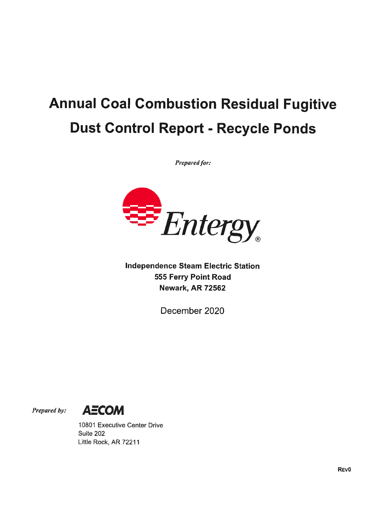## Annual Coal Combustion Residual Fugitive Dust Control Report - Recycle Ponds

Prepared for:



Independence Steam Electric Station 555 Ferry Point Road Newark, AR 72562

December 2020



10801 Executive Center Drive Suite 202 Little Rock, AR 72211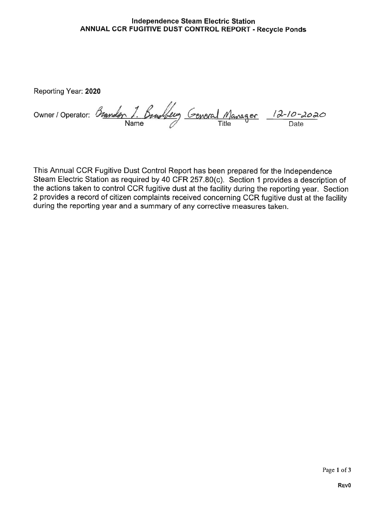## Independence Steam Electric Station ANNUAL CCR FUGITIVE DUST CONTROL REPORT - Recycle Ponds

Reporting Year: 2020

Owner / Operator: Branden Name  $\mathscr{O}$  Title  $\mathsf{O}$  Date

This Annual CCR Fugitive Dust Control Report has been prepared for the Independence Steam Electric Station as required by 40 CFR 257.80(c). Section 1 provides a description of the actions taken to control OCR fugitive dust at the facility during the reporting year. Section 2 provides a record of citizen complaints received concerning OCR fugitive dust at the facility during the reporting year and a summary of any corrective measures taken.

Page 1 of 3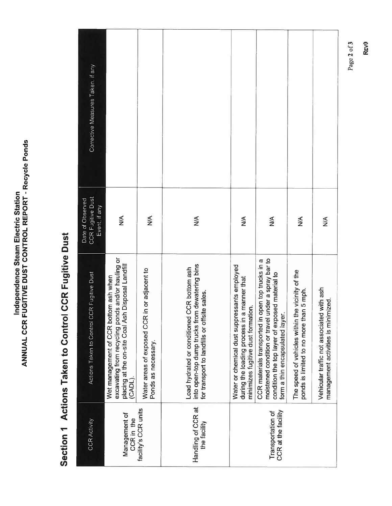## Section 1 Actions Taken to Control CCR Fugitive Dust

|                                                                                                                           | Corrective Measures Taken. if any                             |                                                                                                                                                            |                                                                        |                                                                                                                                                  |                                                                                                                                   |                                                                                                                                                                                                 |                                                                                             |                                                                                  |
|---------------------------------------------------------------------------------------------------------------------------|---------------------------------------------------------------|------------------------------------------------------------------------------------------------------------------------------------------------------------|------------------------------------------------------------------------|--------------------------------------------------------------------------------------------------------------------------------------------------|-----------------------------------------------------------------------------------------------------------------------------------|-------------------------------------------------------------------------------------------------------------------------------------------------------------------------------------------------|---------------------------------------------------------------------------------------------|----------------------------------------------------------------------------------|
| Independence Steam Electric Station                                                                                       | <b>CCR Fugitive Dust</b><br>Date of Observed<br>Event, if any | $\lessgtr$                                                                                                                                                 | ≸                                                                      | $\leq$                                                                                                                                           | ∕k<br>N                                                                                                                           | $\frac{1}{2}$                                                                                                                                                                                   | ≸                                                                                           | $\frac{1}{2}$                                                                    |
| ANNUAL CCR FUGITIVE DUST CONTROL REPORT - Recycle Ponds<br><b>CCR Fugitive Dust</b><br>Section 1 Actions Taken to Control | Actions Taken to Control CCR Fugitive Dust                    | excavating from recycling ponds and/or hauling or<br>placing at the on-site Coal Ash Disposal Landfill<br>Wet management of CCR bottom ash when<br>(CADL). | in or adjacent to<br>Water areas of exposed CCR<br>Ponds as necessary. | into open-top dump trucks from dewatering bins<br>CCR bottom ash<br>for transport to landfills or offsite sales.<br>Load hydrated or conditioned | Water or chemical dust suppressants employed<br>during the loading process in a manner that<br>minimizes fugitive dust formation. | moistened condition or travel under a spray bar to<br>open top trucks in a<br>condition the top layer of exposed material to<br>form a thin encapsulated layer.<br>CCR materials transported in | The speed of vehicles within the vicinity of the<br>ponds is limited to no more than 5 mph. | Vehicular traffic not associated with ash<br>management activities is minimized. |
|                                                                                                                           | <b>CCR Activity</b>                                           | Management of<br>CCR in the                                                                                                                                | facility's CCR units                                                   | Handling of CCR at<br>the facility                                                                                                               |                                                                                                                                   | CCR at the facility<br>Transportation of                                                                                                                                                        |                                                                                             |                                                                                  |

REvO

Page 2 of3

Page 2 of 3